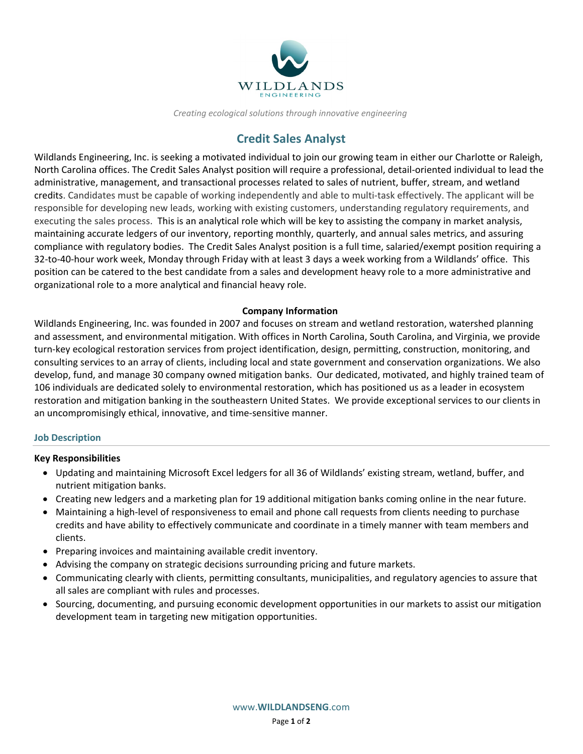

*Creating ecological solutions through innovative engineering*

# **Credit Sales Analyst**

Wildlands Engineering, Inc. is seeking a motivated individual to join our growing team in either our Charlotte or Raleigh, North Carolina offices. The Credit Sales Analyst position will require a professional, detail-oriented individual to lead the administrative, management, and transactional processes related to sales of nutrient, buffer, stream, and wetland credits. Candidates must be capable of working independently and able to multi-task effectively. The applicant will be responsible for developing new leads, working with existing customers, understanding regulatory requirements, and executing the sales process. This is an analytical role which will be key to assisting the company in market analysis, maintaining accurate ledgers of our inventory, reporting monthly, quarterly, and annual sales metrics, and assuring compliance with regulatory bodies. The Credit Sales Analyst position is a full time, salaried/exempt position requiring a 32-to-40-hour work week, Monday through Friday with at least 3 days a week working from a Wildlands' office. This position can be catered to the best candidate from a sales and development heavy role to a more administrative and organizational role to a more analytical and financial heavy role.

## **Company Information**

Wildlands Engineering, Inc. was founded in 2007 and focuses on stream and wetland restoration, watershed planning and assessment, and environmental mitigation. With offices in North Carolina, South Carolina, and Virginia, we provide turn-key ecological restoration services from project identification, design, permitting, construction, monitoring, and consulting services to an array of clients, including local and state government and conservation organizations. We also develop, fund, and manage 30 company owned mitigation banks. Our dedicated, motivated, and highly trained team of 106 individuals are dedicated solely to environmental restoration, which has positioned us as a leader in ecosystem restoration and mitigation banking in the southeastern United States. We provide exceptional services to our clients in an uncompromisingly ethical, innovative, and time-sensitive manner.

## **Job Description**

## **Key Responsibilities**

- Updating and maintaining Microsoft Excel ledgers for all 36 of Wildlands' existing stream, wetland, buffer, and nutrient mitigation banks.
- Creating new ledgers and a marketing plan for 19 additional mitigation banks coming online in the near future.
- Maintaining a high-level of responsiveness to email and phone call requests from clients needing to purchase credits and have ability to effectively communicate and coordinate in a timely manner with team members and clients.
- Preparing invoices and maintaining available credit inventory.
- Advising the company on strategic decisions surrounding pricing and future markets.
- Communicating clearly with clients, permitting consultants, municipalities, and regulatory agencies to assure that all sales are compliant with rules and processes.
- Sourcing, documenting, and pursuing economic development opportunities in our markets to assist our mitigation development team in targeting new mitigation opportunities.